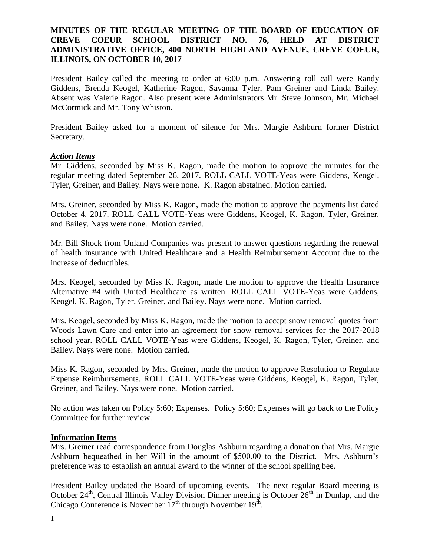## **MINUTES OF THE REGULAR MEETING OF THE BOARD OF EDUCATION OF CREVE COEUR SCHOOL DISTRICT NO. 76, HELD AT DISTRICT ADMINISTRATIVE OFFICE, 400 NORTH HIGHLAND AVENUE, CREVE COEUR, ILLINOIS, ON OCTOBER 10, 2017**

President Bailey called the meeting to order at 6:00 p.m. Answering roll call were Randy Giddens, Brenda Keogel, Katherine Ragon, Savanna Tyler, Pam Greiner and Linda Bailey. Absent was Valerie Ragon. Also present were Administrators Mr. Steve Johnson, Mr. Michael McCormick and Mr. Tony Whiston.

President Bailey asked for a moment of silence for Mrs. Margie Ashburn former District Secretary.

### *Action Items*

Mr. Giddens, seconded by Miss K. Ragon, made the motion to approve the minutes for the regular meeting dated September 26, 2017. ROLL CALL VOTE-Yeas were Giddens, Keogel, Tyler, Greiner, and Bailey. Nays were none. K. Ragon abstained. Motion carried.

Mrs. Greiner, seconded by Miss K. Ragon, made the motion to approve the payments list dated October 4, 2017. ROLL CALL VOTE-Yeas were Giddens, Keogel, K. Ragon, Tyler, Greiner, and Bailey. Nays were none. Motion carried.

Mr. Bill Shock from Unland Companies was present to answer questions regarding the renewal of health insurance with United Healthcare and a Health Reimbursement Account due to the increase of deductibles.

Mrs. Keogel, seconded by Miss K. Ragon, made the motion to approve the Health Insurance Alternative #4 with United Healthcare as written. ROLL CALL VOTE-Yeas were Giddens, Keogel, K. Ragon, Tyler, Greiner, and Bailey. Nays were none. Motion carried.

Mrs. Keogel, seconded by Miss K. Ragon, made the motion to accept snow removal quotes from Woods Lawn Care and enter into an agreement for snow removal services for the 2017-2018 school year. ROLL CALL VOTE-Yeas were Giddens, Keogel, K. Ragon, Tyler, Greiner, and Bailey. Nays were none. Motion carried.

Miss K. Ragon, seconded by Mrs. Greiner, made the motion to approve Resolution to Regulate Expense Reimbursements. ROLL CALL VOTE-Yeas were Giddens, Keogel, K. Ragon, Tyler, Greiner, and Bailey. Nays were none. Motion carried.

No action was taken on Policy 5:60; Expenses. Policy 5:60; Expenses will go back to the Policy Committee for further review.

#### **Information Items**

Mrs. Greiner read correspondence from Douglas Ashburn regarding a donation that Mrs. Margie Ashburn bequeathed in her Will in the amount of \$500.00 to the District. Mrs. Ashburn's preference was to establish an annual award to the winner of the school spelling bee.

President Bailey updated the Board of upcoming events. The next regular Board meeting is October 24<sup>th</sup>, Central Illinois Valley Division Dinner meeting is October  $26<sup>th</sup>$  in Dunlap, and the Chicago Conference is November  $17<sup>th</sup>$  through November  $19<sup>th</sup>$ .